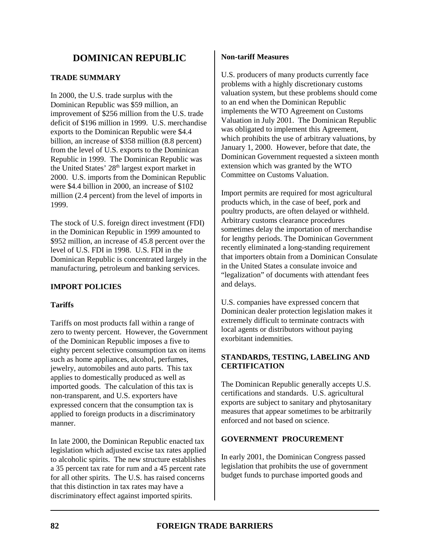# **DOMINICAN REPUBLIC**

# **TRADE SUMMARY**

In 2000, the U.S. trade surplus with the Dominican Republic was \$59 million, an improvement of \$256 million from the U.S. trade deficit of \$196 million in 1999. U.S. merchandise exports to the Dominican Republic were \$4.4 billion, an increase of \$358 million (8.8 percent) from the level of U.S. exports to the Dominican Republic in 1999. The Dominican Republic was the United States'  $28<sup>th</sup>$  largest export market in 2000. U.S. imports from the Dominican Republic were \$4.4 billion in 2000, an increase of \$102 million (2.4 percent) from the level of imports in 1999.

The stock of U.S. foreign direct investment (FDI) in the Dominican Republic in 1999 amounted to \$952 million, an increase of 45.8 percent over the level of U.S. FDI in 1998. U.S. FDI in the Dominican Republic is concentrated largely in the manufacturing, petroleum and banking services.

## **IMPORT POLICIES**

## **Tariffs**

Tariffs on most products fall within a range of zero to twenty percent. However, the Government of the Dominican Republic imposes a five to eighty percent selective consumption tax on items such as home appliances, alcohol, perfumes, jewelry, automobiles and auto parts. This tax applies to domestically produced as well as imported goods. The calculation of this tax is non-transparent, and U.S. exporters have expressed concern that the consumption tax is applied to foreign products in a discriminatory manner.

In late 2000, the Dominican Republic enacted tax legislation which adjusted excise tax rates applied to alcoholic spirits. The new structure establishes a 35 percent tax rate for rum and a 45 percent rate for all other spirits. The U.S. has raised concerns that this distinction in tax rates may have a discriminatory effect against imported spirits.

## **Non-tariff Measures**

U.S. producers of many products currently face problems with a highly discretionary customs valuation system, but these problems should come to an end when the Dominican Republic implements the WTO Agreement on Customs Valuation in July 2001. The Dominican Republic was obligated to implement this Agreement, which prohibits the use of arbitrary valuations, by January 1, 2000. However, before that date, the Dominican Government requested a sixteen month extension which was granted by the WTO Committee on Customs Valuation.

Import permits are required for most agricultural products which, in the case of beef, pork and poultry products, are often delayed or withheld. Arbitrary customs clearance procedures sometimes delay the importation of merchandise for lengthy periods. The Dominican Government recently eliminated a long-standing requirement that importers obtain from a Dominican Consulate in the United States a consulate invoice and "legalization" of documents with attendant fees and delays.

U.S. companies have expressed concern that Dominican dealer protection legislation makes it extremely difficult to terminate contracts with local agents or distributors without paying exorbitant indemnities.

## **STANDARDS, TESTING, LABELING AND CERTIFICATION**

The Dominican Republic generally accepts U.S. certifications and standards. U.S. agricultural exports are subject to sanitary and phytosanitary measures that appear sometimes to be arbitrarily enforced and not based on science.

## **GOVERNMENT PROCUREMENT**

In early 2001, the Dominican Congress passed legislation that prohibits the use of government budget funds to purchase imported goods and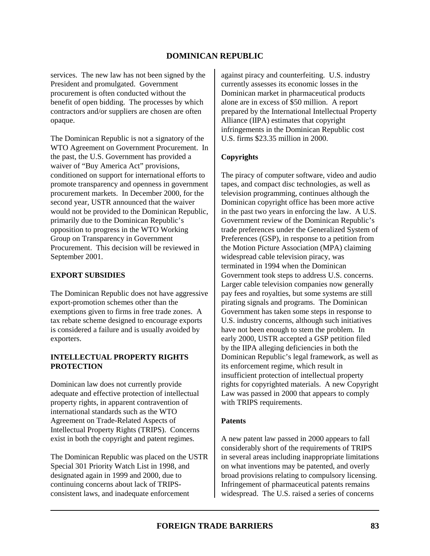# **DOMINICAN REPUBLIC**

services. The new law has not been signed by the President and promulgated. Government procurement is often conducted without the benefit of open bidding. The processes by which contractors and/or suppliers are chosen are often opaque.

The Dominican Republic is not a signatory of the WTO Agreement on Government Procurement. In the past, the U.S. Government has provided a waiver of "Buy America Act" provisions, conditioned on support for international efforts to promote transparency and openness in government procurement markets. In December 2000, for the second year, USTR announced that the waiver would not be provided to the Dominican Republic, primarily due to the Dominican Republic's opposition to progress in the WTO Working Group on Transparency in Government Procurement. This decision will be reviewed in September 2001.

### **EXPORT SUBSIDIES**

The Dominican Republic does not have aggressive export-promotion schemes other than the exemptions given to firms in free trade zones. A tax rebate scheme designed to encourage exports is considered a failure and is usually avoided by exporters.

## **INTELLECTUAL PROPERTY RIGHTS PROTECTION**

Dominican law does not currently provide adequate and effective protection of intellectual property rights, in apparent contravention of international standards such as the WTO Agreement on Trade-Related Aspects of Intellectual Property Rights (TRIPS). Concerns exist in both the copyright and patent regimes.

The Dominican Republic was placed on the USTR Special 301 Priority Watch List in 1998, and designated again in 1999 and 2000, due to continuing concerns about lack of TRIPSconsistent laws, and inadequate enforcement

against piracy and counterfeiting. U.S. industry currently assesses its economic losses in the Dominican market in pharmaceutical products alone are in excess of \$50 million. A report prepared by the International Intellectual Property Alliance (IIPA) estimates that copyright infringements in the Dominican Republic cost U.S. firms \$23.35 million in 2000.

# **Copyrights**

The piracy of computer software, video and audio tapes, and compact disc technologies, as well as television programming, continues although the Dominican copyright office has been more active in the past two years in enforcing the law. A U.S. Government review of the Dominican Republic's trade preferences under the Generalized System of Preferences (GSP), in response to a petition from the Motion Picture Association (MPA) claiming widespread cable television piracy, was terminated in 1994 when the Dominican Government took steps to address U.S. concerns. Larger cable television companies now generally pay fees and royalties, but some systems are still pirating signals and programs. The Dominican Government has taken some steps in response to U.S. industry concerns, although such initiatives have not been enough to stem the problem. In early 2000, USTR accepted a GSP petition filed by the IIPA alleging deficiencies in both the Dominican Republic's legal framework, as well as its enforcement regime, which result in insufficient protection of intellectual property rights for copyrighted materials. A new Copyright Law was passed in 2000 that appears to comply with TRIPS requirements.

#### **Patents**

A new patent law passed in 2000 appears to fall considerably short of the requirements of TRIPS in several areas including inappropriate limitations on what inventions may be patented, and overly broad provisions relating to compulsory licensing. Infringement of pharmaceutical patents remains widespread. The U.S. raised a series of concerns